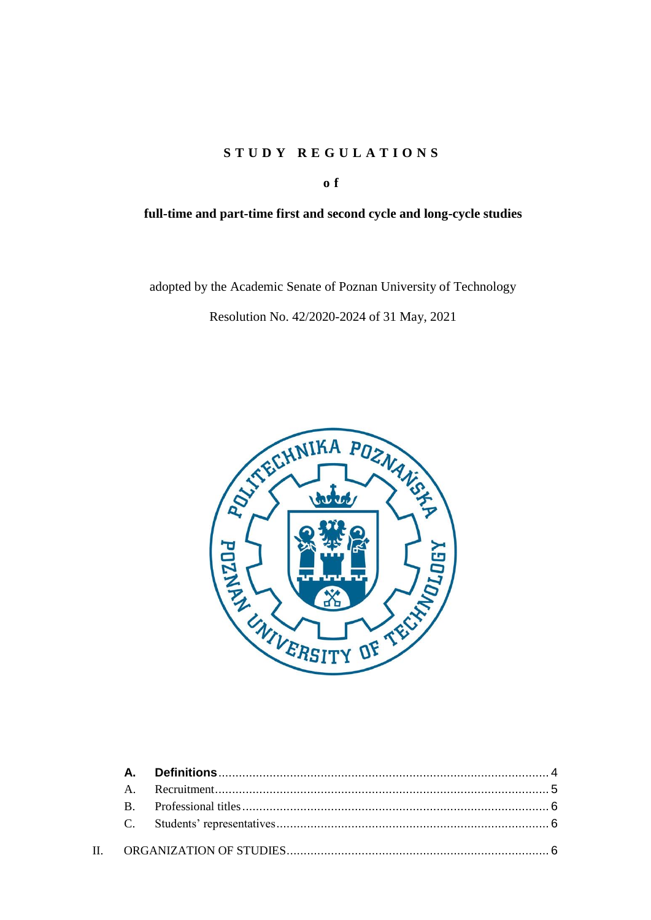# **S T U D Y R E G U L A T I O N S**

**o f**

# **full-time and part-time first and second cycle and long-cycle studies**

adopted by the Academic Senate of Poznan University of Technology

Resolution No. 42/2020-2024 of 31 May, 2021

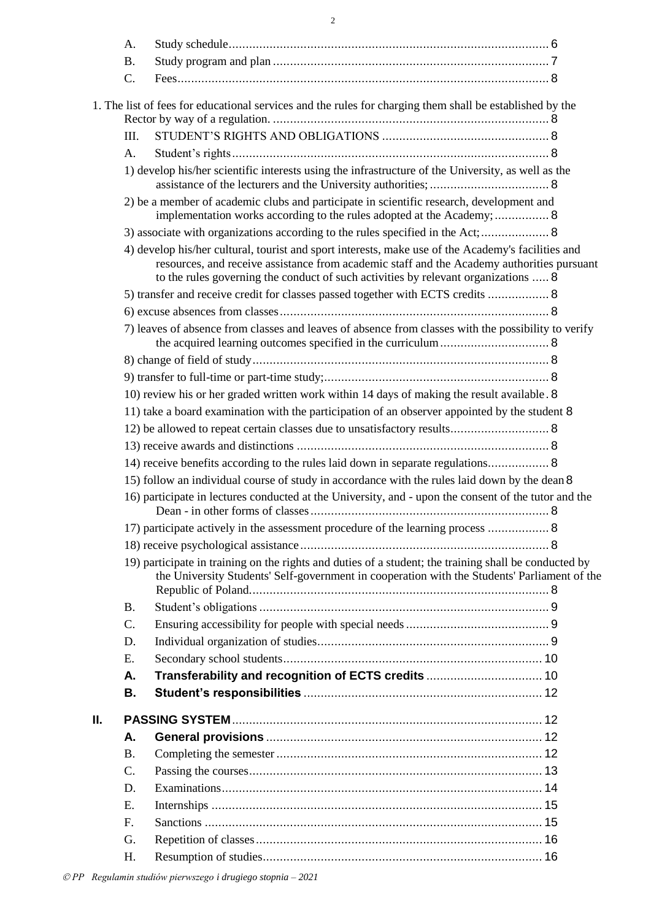|    | A.              |                                                                                                                                                                                                                                                                                        |  |
|----|-----------------|----------------------------------------------------------------------------------------------------------------------------------------------------------------------------------------------------------------------------------------------------------------------------------------|--|
|    | <b>B.</b>       |                                                                                                                                                                                                                                                                                        |  |
|    | $C$ .           |                                                                                                                                                                                                                                                                                        |  |
|    |                 |                                                                                                                                                                                                                                                                                        |  |
|    |                 | 1. The list of fees for educational services and the rules for charging them shall be established by the                                                                                                                                                                               |  |
|    |                 |                                                                                                                                                                                                                                                                                        |  |
|    | III.            |                                                                                                                                                                                                                                                                                        |  |
|    | A.              |                                                                                                                                                                                                                                                                                        |  |
|    |                 | 1) develop his/her scientific interests using the infrastructure of the University, as well as the                                                                                                                                                                                     |  |
|    |                 | 2) be a member of academic clubs and participate in scientific research, development and<br>implementation works according to the rules adopted at the Academy;  8                                                                                                                     |  |
|    |                 | 3) associate with organizations according to the rules specified in the Act; 8                                                                                                                                                                                                         |  |
|    |                 | 4) develop his/her cultural, tourist and sport interests, make use of the Academy's facilities and<br>resources, and receive assistance from academic staff and the Academy authorities pursuant<br>to the rules governing the conduct of such activities by relevant organizations  8 |  |
|    |                 | 5) transfer and receive credit for classes passed together with ECTS credits  8                                                                                                                                                                                                        |  |
|    |                 |                                                                                                                                                                                                                                                                                        |  |
|    |                 | 7) leaves of absence from classes and leaves of absence from classes with the possibility to verify                                                                                                                                                                                    |  |
|    |                 |                                                                                                                                                                                                                                                                                        |  |
|    |                 |                                                                                                                                                                                                                                                                                        |  |
|    |                 | 10) review his or her graded written work within 14 days of making the result available. 8                                                                                                                                                                                             |  |
|    |                 | 11) take a board examination with the participation of an observer appointed by the student 8                                                                                                                                                                                          |  |
|    |                 | 12) be allowed to repeat certain classes due to unsatisfactory results 8                                                                                                                                                                                                               |  |
|    |                 |                                                                                                                                                                                                                                                                                        |  |
|    |                 | 14) receive benefits according to the rules laid down in separate regulations 8                                                                                                                                                                                                        |  |
|    |                 | 15) follow an individual course of study in accordance with the rules laid down by the dean 8                                                                                                                                                                                          |  |
|    |                 | 16) participate in lectures conducted at the University, and - upon the consent of the tutor and the                                                                                                                                                                                   |  |
|    |                 | 17) participate actively in the assessment procedure of the learning process  8                                                                                                                                                                                                        |  |
|    |                 |                                                                                                                                                                                                                                                                                        |  |
|    |                 | 19) participate in training on the rights and duties of a student; the training shall be conducted by<br>the University Students' Self-government in cooperation with the Students' Parliament of the                                                                                  |  |
|    | <b>B.</b>       |                                                                                                                                                                                                                                                                                        |  |
|    | $\mathcal{C}$ . |                                                                                                                                                                                                                                                                                        |  |
|    | D.              |                                                                                                                                                                                                                                                                                        |  |
|    | E.              |                                                                                                                                                                                                                                                                                        |  |
|    | Α.              |                                                                                                                                                                                                                                                                                        |  |
|    | В.              |                                                                                                                                                                                                                                                                                        |  |
| Ш. |                 |                                                                                                                                                                                                                                                                                        |  |
|    | А.              |                                                                                                                                                                                                                                                                                        |  |
|    | <b>B.</b>       |                                                                                                                                                                                                                                                                                        |  |
|    | $C$ .           |                                                                                                                                                                                                                                                                                        |  |
|    | D.              |                                                                                                                                                                                                                                                                                        |  |
|    | E.              |                                                                                                                                                                                                                                                                                        |  |
|    | F.              |                                                                                                                                                                                                                                                                                        |  |
|    | G.              |                                                                                                                                                                                                                                                                                        |  |
|    | H.              |                                                                                                                                                                                                                                                                                        |  |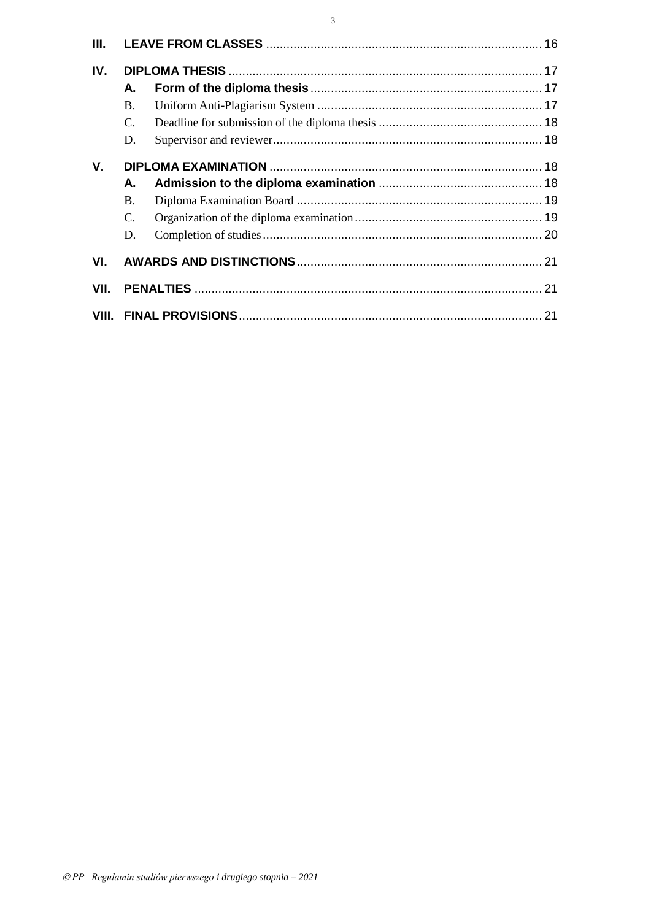| Ш.          |           |  |  |
|-------------|-----------|--|--|
| IV.         |           |  |  |
|             | А.        |  |  |
|             | <b>B.</b> |  |  |
|             | C.        |  |  |
|             | D.        |  |  |
| $V_{\cdot}$ |           |  |  |
|             | А.        |  |  |
|             | <b>B.</b> |  |  |
|             | C.        |  |  |
|             | D.        |  |  |
| VI.         |           |  |  |
| VII.        |           |  |  |
|             |           |  |  |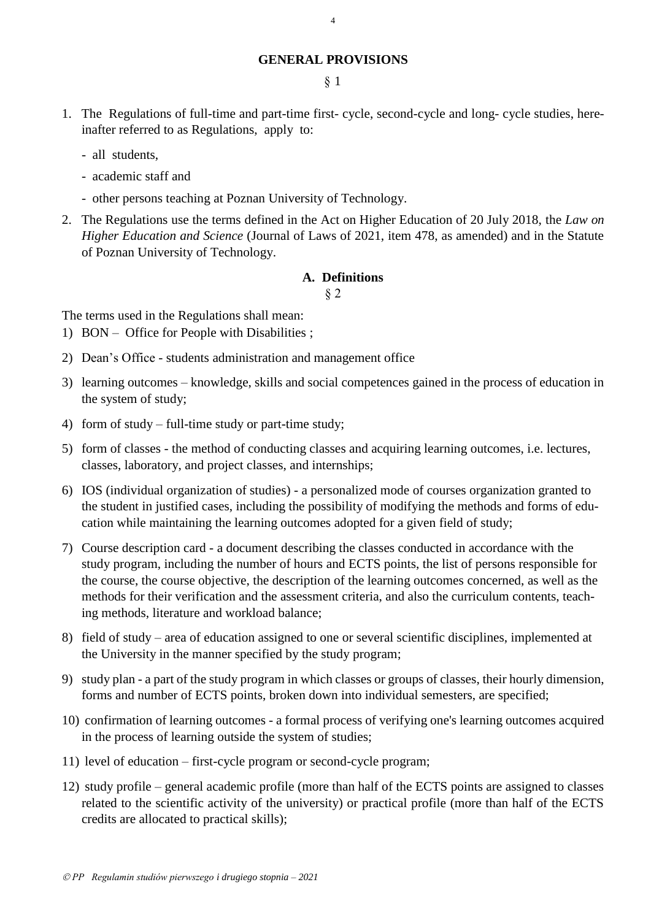## **GENERAL PROVISIONS**

4

§ 1

- 1. The Regulations of full-time and part-time first- cycle, second-cycle and long- cycle studies, hereinafter referred to as Regulations, apply to:
	- all students,
	- academic staff and
	- other persons teaching at Poznan University of Technology.
- 2. The Regulations use the terms defined in the Act on Higher Education of 20 July 2018, the *Law on Higher Education and Science* (Journal of Laws of 2021, item 478, as amended) and in the Statute of Poznan University of Technology.

### **A. Definitions**

§ 2

<span id="page-3-0"></span>The terms used in the Regulations shall mean:

- 1) BON Office for People with Disabilities ;
- 2) Dean's Office students administration and management office
- 3) learning outcomes knowledge, skills and social competences gained in the process of education in the system of study;
- 4) form of study full-time study or part-time study;
- 5) form of classes the method of conducting classes and acquiring learning outcomes, i.e. lectures, classes, laboratory, and project classes, and internships;
- 6) IOS (individual organization of studies) a personalized mode of courses organization granted to the student in justified cases, including the possibility of modifying the methods and forms of education while maintaining the learning outcomes adopted for a given field of study;
- 7) Course description card a document describing the classes conducted in accordance with the study program, including the number of hours and ECTS points, the list of persons responsible for the course, the course objective, the description of the learning outcomes concerned, as well as the methods for their verification and the assessment criteria, and also the curriculum contents, teaching methods, literature and workload balance;
- 8) field of study area of education assigned to one or several scientific disciplines, implemented at the University in the manner specified by the study program;
- 9) study plan a part of the study program in which classes or groups of classes, their hourly dimension, forms and number of ECTS points, broken down into individual semesters, are specified;
- 10) confirmation of learning outcomes a formal process of verifying one's learning outcomes acquired in the process of learning outside the system of studies;
- 11) level of education first-cycle program or second-cycle program;
- 12) study profile general academic profile (more than half of the ECTS points are assigned to classes related to the scientific activity of the university) or practical profile (more than half of the ECTS credits are allocated to practical skills);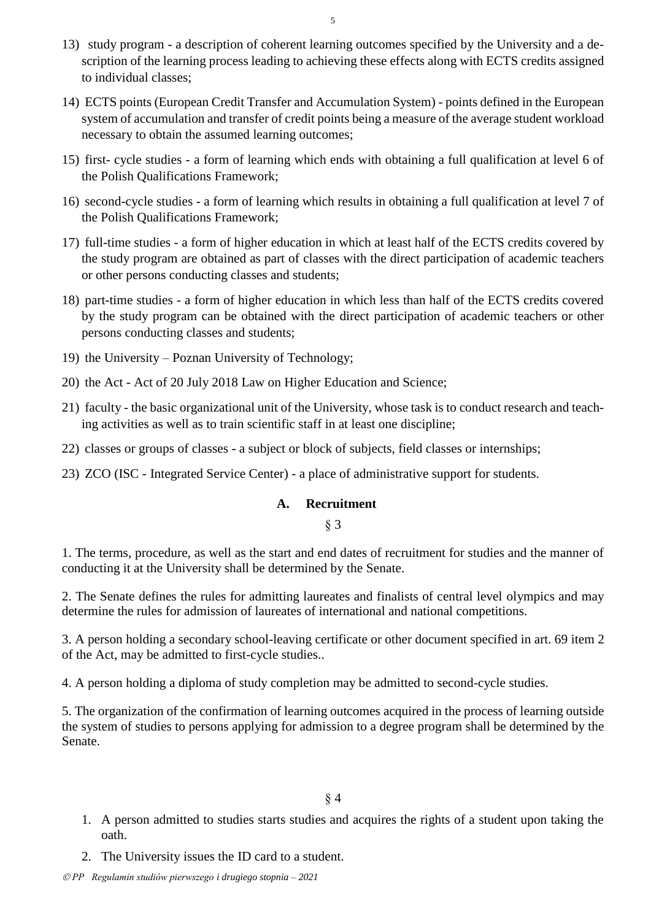- 13) study program a description of coherent learning outcomes specified by the University and a description of the learning process leading to achieving these effects along with ECTS credits assigned to individual classes;
- 14) ECTS points (European Credit Transfer and Accumulation System) points defined in the European system of accumulation and transfer of credit points being a measure of the average student workload necessary to obtain the assumed learning outcomes;
- 15) first- cycle studies a form of learning which ends with obtaining a full qualification at level 6 of the Polish Qualifications Framework;
- 16) second-cycle studies a form of learning which results in obtaining a full qualification at level 7 of the Polish Qualifications Framework;
- 17) full-time studies a form of higher education in which at least half of the ECTS credits covered by the study program are obtained as part of classes with the direct participation of academic teachers or other persons conducting classes and students;
- 18) part-time studies a form of higher education in which less than half of the ECTS credits covered by the study program can be obtained with the direct participation of academic teachers or other persons conducting classes and students;
- 19) the University Poznan University of Technology;
- 20) the Act Act of 20 July 2018 Law on Higher Education and Science;
- 21) faculty the basic organizational unit of the University, whose task is to conduct research and teaching activities as well as to train scientific staff in at least one discipline;
- 22) classes or groups of classes a subject or block of subjects, field classes or internships;
- <span id="page-4-0"></span>23) ZCO (ISC - Integrated Service Center) - a place of administrative support for students.

#### **A. Recruitment**

§ 3

1. The terms, procedure, as well as the start and end dates of recruitment for studies and the manner of conducting it at the University shall be determined by the Senate.

2. The Senate defines the rules for admitting laureates and finalists of central level olympics and may determine the rules for admission of laureates of international and national competitions.

3. A person holding a secondary school-leaving certificate or other document specified in art. 69 item 2 of the Act, may be admitted to first-cycle studies..

4. A person holding a diploma of study completion may be admitted to second-cycle studies.

5. The organization of the confirmation of learning outcomes acquired in the process of learning outside the system of studies to persons applying for admission to a degree program shall be determined by the Senate.

- 1. A person admitted to studies starts studies and acquires the rights of a student upon taking the oath.
- 2. The University issues the ID card to a student.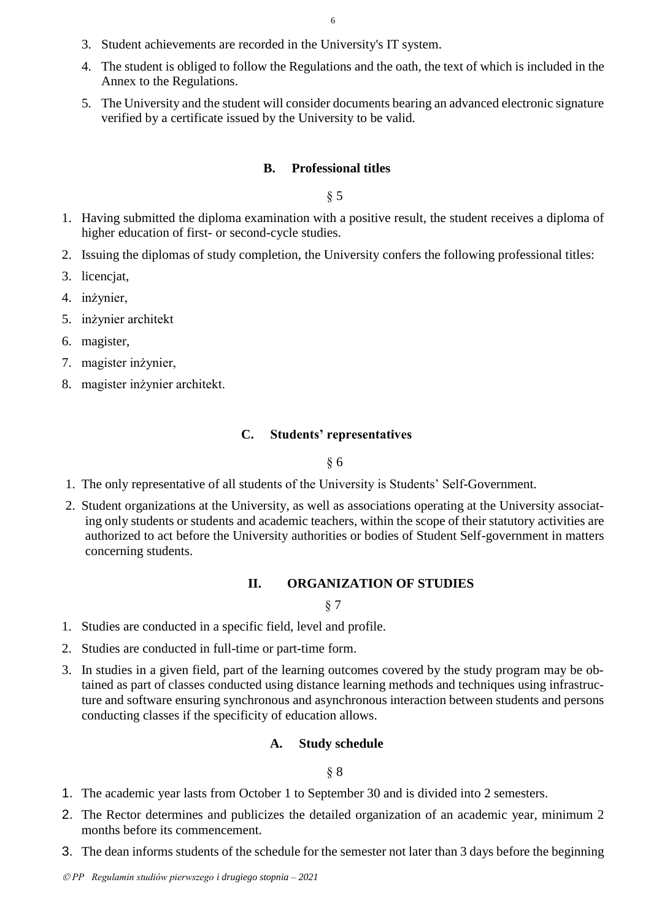- 3. Student achievements are recorded in the University's IT system.
- 4. The student is obliged to follow the Regulations and the oath, the text of which is included in the Annex to the Regulations.
- <span id="page-5-0"></span>5. The University and the student will consider documents bearing an advanced electronic signature verified by a certificate issued by the University to be valid.

#### **B. Professional titles**

§ 5

- 1. Having submitted the diploma examination with a positive result, the student receives a diploma of higher education of first- or second-cycle studies.
- 2. Issuing the diplomas of study completion, the University confers the following professional titles:
- 3. licencjat,
- 4. inżynier,
- 5. inżynier architekt
- 6. magister,
- 7. magister inżynier,
- <span id="page-5-1"></span>8. magister inżynier architekt.

## **C. Students' representatives**

#### § 6

- 1. The only representative of all students of the University is Students' Self-Government.
- <span id="page-5-2"></span>2. Student organizations at the University, as well as associations operating at the University associating only students or students and academic teachers, within the scope of their statutory activities are authorized to act before the University authorities or bodies of Student Self-government in matters concerning students.

#### **II. ORGANIZATION OF STUDIES**

§ 7

- 1. Studies are conducted in a specific field, level and profile.
- 2. Studies are conducted in full-time or part-time form.
- <span id="page-5-3"></span>3. In studies in a given field, part of the learning outcomes covered by the study program may be obtained as part of classes conducted using distance learning methods and techniques using infrastructure and software ensuring synchronous and asynchronous interaction between students and persons conducting classes if the specificity of education allows.

#### **A. Study schedule**

- 1. The academic year lasts from October 1 to September 30 and is divided into 2 semesters.
- 2. The Rector determines and publicizes the detailed organization of an academic year, minimum 2 months before its commencement.
- 3. The dean informs students of the schedule for the semester not later than 3 days before the beginning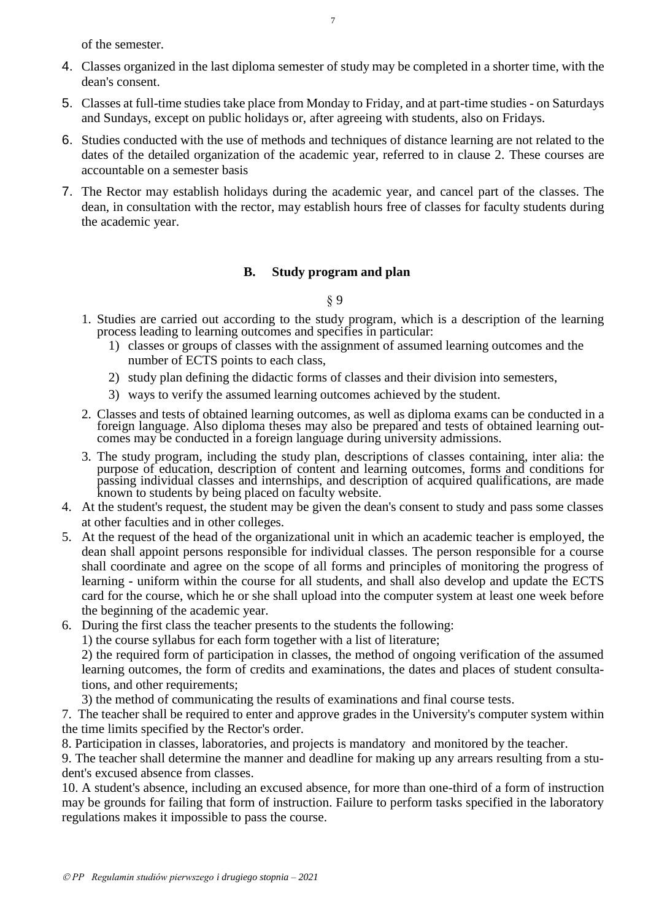of the semester.

- 4. Classes organized in the last diploma semester of study may be completed in a shorter time, with the dean's consent.
- 5. Classes at full-time studies take place from Monday to Friday, and at part-time studies on Saturdays and Sundays, except on public holidays or, after agreeing with students, also on Fridays.
- 6. Studies conducted with the use of methods and techniques of distance learning are not related to the dates of the detailed organization of the academic year, referred to in clause 2. These courses are accountable on a semester basis
- 7. The Rector may establish holidays during the academic year, and cancel part of the classes. The dean, in consultation with the rector, may establish hours free of classes for faculty students during the academic year.

## **B. Study program and plan**

§ 9

- <span id="page-6-0"></span>1. Studies are carried out according to the study program, which is a description of the learning process leading to learning outcomes and specifies in particular:
	- 1) classes or groups of classes with the assignment of assumed learning outcomes and the number of ECTS points to each class,
	- 2) study plan defining the didactic forms of classes and their division into semesters,
	- 3) ways to verify the assumed learning outcomes achieved by the student.
- 2. Classes and tests of obtained learning outcomes, as well as diploma exams can be conducted in a foreign language. Also diploma theses may also be prepared and tests of obtained learning outcomes may be conducted in a foreign language during university admissions.
- 3. The study program, including the study plan, descriptions of classes containing, inter alia: the purpose of education, description of content and learning outcomes, forms and conditions for passing individual classes and internships, and description of acquired qualifications, are made known to students by being placed on faculty website.
- 4. At the student's request, the student may be given the dean's consent to study and pass some classes at other faculties and in other colleges.
- 5. At the request of the head of the organizational unit in which an academic teacher is employed, the dean shall appoint persons responsible for individual classes. The person responsible for a course shall coordinate and agree on the scope of all forms and principles of monitoring the progress of learning - uniform within the course for all students, and shall also develop and update the ECTS card for the course, which he or she shall upload into the computer system at least one week before the beginning of the academic year.
- 6. During the first class the teacher presents to the students the following:

1) the course syllabus for each form together with a list of literature;

2) the required form of participation in classes, the method of ongoing verification of the assumed learning outcomes, the form of credits and examinations, the dates and places of student consultations, and other requirements;

3) the method of communicating the results of examinations and final course tests.

7. The teacher shall be required to enter and approve grades in the University's computer system within the time limits specified by the Rector's order.

8. Participation in classes, laboratories, and projects is mandatory and monitored by the teacher.

9. The teacher shall determine the manner and deadline for making up any arrears resulting from a student's excused absence from classes.

10. A student's absence, including an excused absence, for more than one-third of a form of instruction may be grounds for failing that form of instruction. Failure to perform tasks specified in the laboratory regulations makes it impossible to pass the course.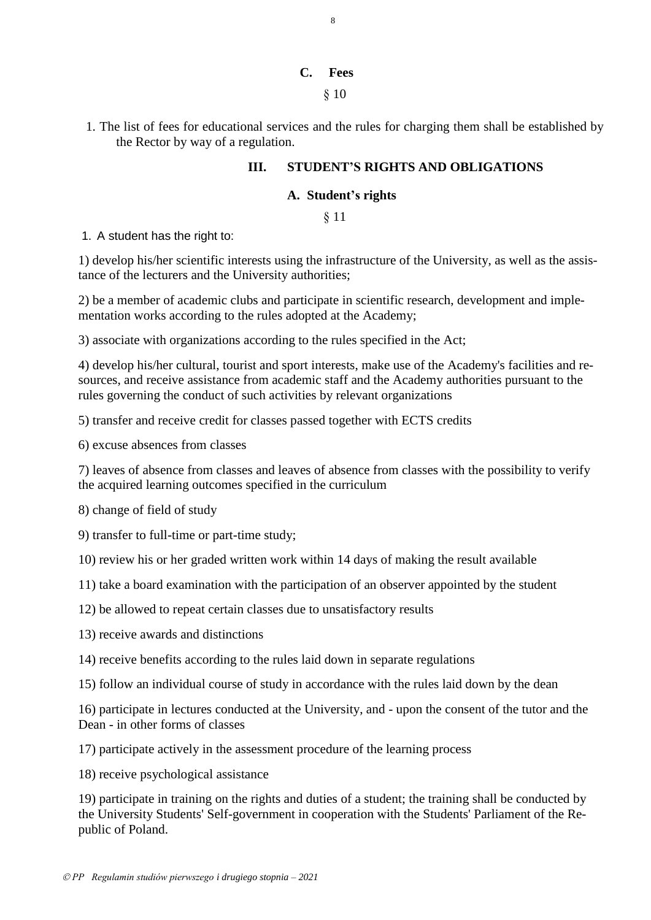### **C. Fees**

§ 10

<span id="page-7-2"></span><span id="page-7-1"></span><span id="page-7-0"></span>1. The list of fees for educational services and the rules for charging them shall be established by the Rector by way of a regulation.

# **III. STUDENT'S RIGHTS AND OBLIGATIONS**

## **A. Student's rights**

§ 11

<span id="page-7-3"></span>1. A student has the right to:

<span id="page-7-4"></span>1) develop his/her scientific interests using the infrastructure of the University, as well as the assistance of the lecturers and the University authorities;

<span id="page-7-5"></span>2) be a member of academic clubs and participate in scientific research, development and implementation works according to the rules adopted at the Academy;

<span id="page-7-6"></span>3) associate with organizations according to the rules specified in the Act;

<span id="page-7-7"></span>4) develop his/her cultural, tourist and sport interests, make use of the Academy's facilities and resources, and receive assistance from academic staff and the Academy authorities pursuant to the rules governing the conduct of such activities by relevant organizations

<span id="page-7-8"></span>5) transfer and receive credit for classes passed together with ECTS credits

<span id="page-7-9"></span>6) excuse absences from classes

<span id="page-7-10"></span>7) leaves of absence from classes and leaves of absence from classes with the possibility to verify the acquired learning outcomes specified in the curriculum

<span id="page-7-11"></span>8) change of field of study

<span id="page-7-12"></span>9) transfer to full-time or part-time study;

<span id="page-7-13"></span>10) review his or her graded written work within 14 days of making the result available

<span id="page-7-14"></span>11) take a board examination with the participation of an observer appointed by the student

<span id="page-7-15"></span>12) be allowed to repeat certain classes due to unsatisfactory results

<span id="page-7-16"></span>13) receive awards and distinctions

<span id="page-7-17"></span>14) receive benefits according to the rules laid down in separate regulations

<span id="page-7-18"></span>15) follow an individual course of study in accordance with the rules laid down by the dean

<span id="page-7-19"></span>16) participate in lectures conducted at the University, and - upon the consent of the tutor and the Dean - in other forms of classes

<span id="page-7-20"></span>17) participate actively in the assessment procedure of the learning process

<span id="page-7-21"></span>18) receive psychological assistance

<span id="page-7-22"></span>19) participate in training on the rights and duties of a student; the training shall be conducted by the University Students' Self-government in cooperation with the Students' Parliament of the Republic of Poland.

8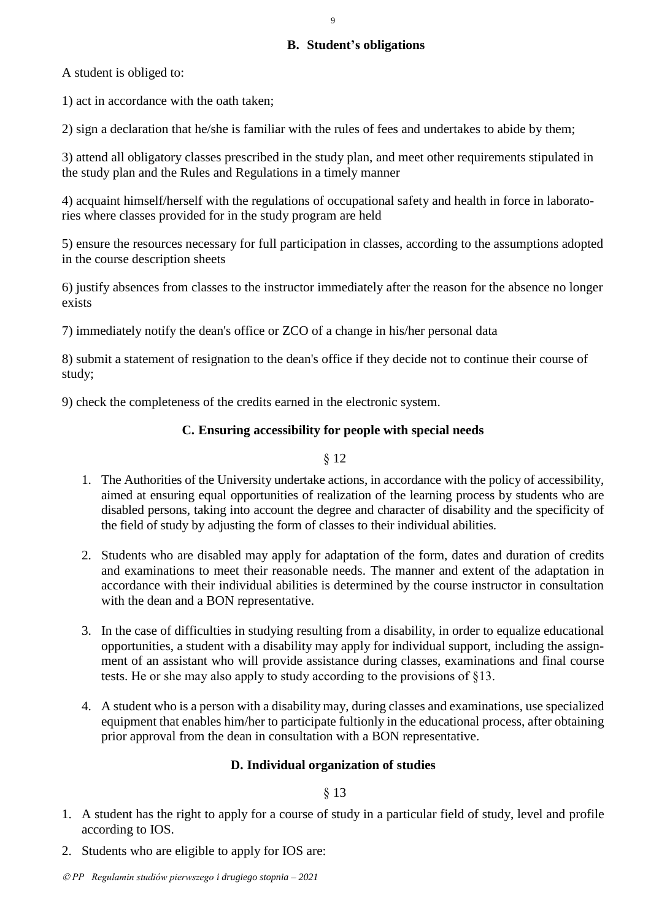### **B. Student's obligations**

<span id="page-8-0"></span>A student is obliged to:

1) act in accordance with the oath taken;

2) sign a declaration that he/she is familiar with the rules of fees and undertakes to abide by them;

3) attend all obligatory classes prescribed in the study plan, and meet other requirements stipulated in the study plan and the Rules and Regulations in a timely manner

4) acquaint himself/herself with the regulations of occupational safety and health in force in laboratories where classes provided for in the study program are held

5) ensure the resources necessary for full participation in classes, according to the assumptions adopted in the course description sheets

6) justify absences from classes to the instructor immediately after the reason for the absence no longer exists

7) immediately notify the dean's office or ZCO of a change in his/her personal data

8) submit a statement of resignation to the dean's office if they decide not to continue their course of study;

<span id="page-8-1"></span>9) check the completeness of the credits earned in the electronic system.

## **C. Ensuring accessibility for people with special needs**

§ 12

- 1. The Authorities of the University undertake actions, in accordance with the policy of accessibility, aimed at ensuring equal opportunities of realization of the learning process by students who are disabled persons, taking into account the degree and character of disability and the specificity of the field of study by adjusting the form of classes to their individual abilities.
- 2. Students who are disabled may apply for adaptation of the form, dates and duration of credits and examinations to meet their reasonable needs. The manner and extent of the adaptation in accordance with their individual abilities is determined by the course instructor in consultation with the dean and a BON representative.
- 3. In the case of difficulties in studying resulting from a disability, in order to equalize educational opportunities, a student with a disability may apply for individual support, including the assignment of an assistant who will provide assistance during classes, examinations and final course tests. He or she may also apply to study according to the provisions of §13.
- <span id="page-8-2"></span>4. A student who is a person with a disability may, during classes and examinations, use specialized equipment that enables him/her to participate fultionly in the educational process, after obtaining prior approval from the dean in consultation with a BON representative.

## **D. Individual organization of studies**

- 1. A student has the right to apply for a course of study in a particular field of study, level and profile according to IOS.
- 2. Students who are eligible to apply for IOS are: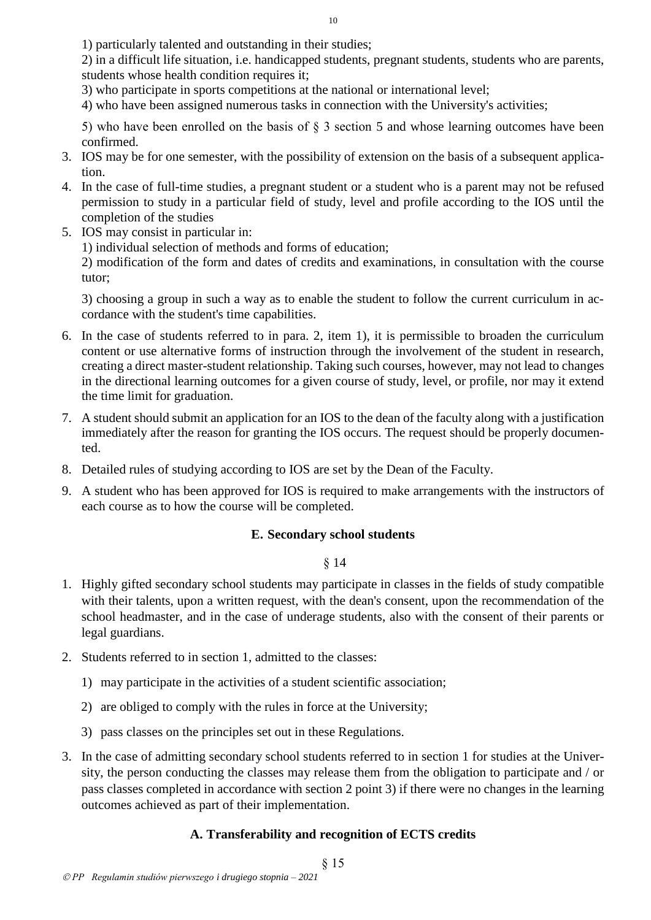1) particularly talented and outstanding in their studies;

2) in a difficult life situation, i.e. handicapped students, pregnant students, students who are parents, students whose health condition requires it;

3) who participate in sports competitions at the national or international level;

4) who have been assigned numerous tasks in connection with the University's activities;

5) who have been enrolled on the basis of  $\S$  3 section 5 and whose learning outcomes have been confirmed.

- 3. IOS may be for one semester, with the possibility of extension on the basis of a subsequent application.
- 4. In the case of full-time studies, a pregnant student or a student who is a parent may not be refused permission to study in a particular field of study, level and profile according to the IOS until the completion of the studies
- 5. IOS may consist in particular in:
	- 1) individual selection of methods and forms of education;

2) modification of the form and dates of credits and examinations, in consultation with the course tutor;

3) choosing a group in such a way as to enable the student to follow the current curriculum in accordance with the student's time capabilities.

- 6. In the case of students referred to in para. 2, item 1), it is permissible to broaden the curriculum content or use alternative forms of instruction through the involvement of the student in research, creating a direct master-student relationship. Taking such courses, however, may not lead to changes in the directional learning outcomes for a given course of study, level, or profile, nor may it extend the time limit for graduation.
- 7. A student should submit an application for an IOS to the dean of the faculty along with a justification immediately after the reason for granting the IOS occurs. The request should be properly documented.
- 8. Detailed rules of studying according to IOS are set by the Dean of the Faculty.
- <span id="page-9-0"></span>9. A student who has been approved for IOS is required to make arrangements with the instructors of each course as to how the course will be completed.

## **E. Secondary school students**

§ 14

- 1. Highly gifted secondary school students may participate in classes in the fields of study compatible with their talents, upon a written request, with the dean's consent, upon the recommendation of the school headmaster, and in the case of underage students, also with the consent of their parents or legal guardians.
- 2. Students referred to in section 1, admitted to the classes:
	- 1) may participate in the activities of a student scientific association;
	- 2) are obliged to comply with the rules in force at the University;
	- 3) pass classes on the principles set out in these Regulations.
- <span id="page-9-1"></span>3. In the case of admitting secondary school students referred to in section 1 for studies at the University, the person conducting the classes may release them from the obligation to participate and / or pass classes completed in accordance with section 2 point 3) if there were no changes in the learning outcomes achieved as part of their implementation.

# **A. Transferability and recognition of ECTS credits**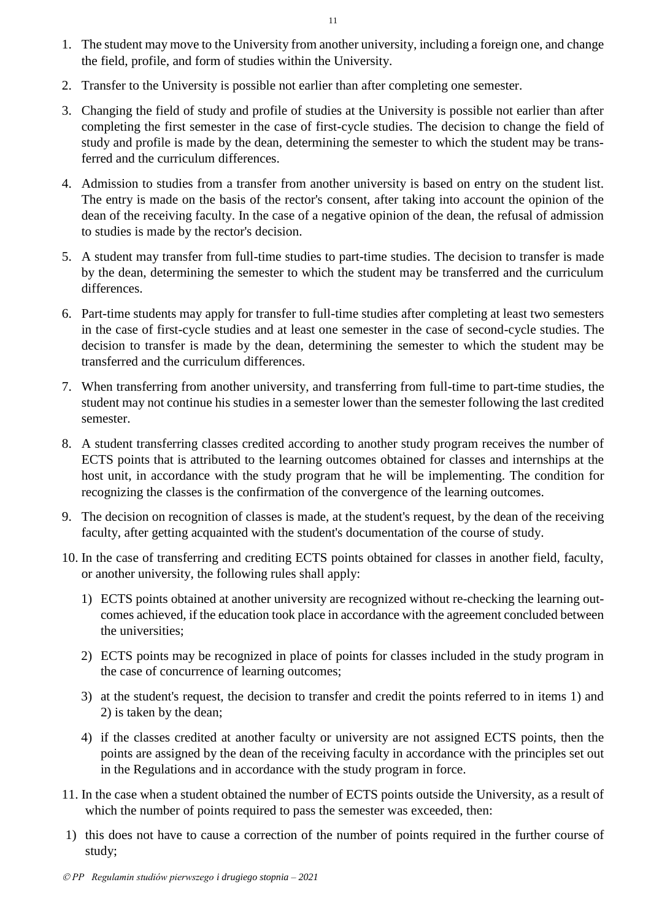- 1. The student may move to the University from another university, including a foreign one, and change the field, profile, and form of studies within the University.
- 2. Transfer to the University is possible not earlier than after completing one semester.
- 3. Changing the field of study and profile of studies at the University is possible not earlier than after completing the first semester in the case of first-cycle studies. The decision to change the field of study and profile is made by the dean, determining the semester to which the student may be transferred and the curriculum differences.
- 4. Admission to studies from a transfer from another university is based on entry on the student list. The entry is made on the basis of the rector's consent, after taking into account the opinion of the dean of the receiving faculty. In the case of a negative opinion of the dean, the refusal of admission to studies is made by the rector's decision.
- 5. A student may transfer from full-time studies to part-time studies. The decision to transfer is made by the dean, determining the semester to which the student may be transferred and the curriculum differences.
- 6. Part-time students may apply for transfer to full-time studies after completing at least two semesters in the case of first-cycle studies and at least one semester in the case of second-cycle studies. The decision to transfer is made by the dean, determining the semester to which the student may be transferred and the curriculum differences.
- 7. When transferring from another university, and transferring from full-time to part-time studies, the student may not continue his studies in a semester lower than the semester following the last credited semester.
- 8. A student transferring classes credited according to another study program receives the number of ECTS points that is attributed to the learning outcomes obtained for classes and internships at the host unit, in accordance with the study program that he will be implementing. The condition for recognizing the classes is the confirmation of the convergence of the learning outcomes.
- 9. The decision on recognition of classes is made, at the student's request, by the dean of the receiving faculty, after getting acquainted with the student's documentation of the course of study.
- 10. In the case of transferring and crediting ECTS points obtained for classes in another field, faculty, or another university, the following rules shall apply:
	- 1) ECTS points obtained at another university are recognized without re-checking the learning outcomes achieved, if the education took place in accordance with the agreement concluded between the universities;
	- 2) ECTS points may be recognized in place of points for classes included in the study program in the case of concurrence of learning outcomes;
	- 3) at the student's request, the decision to transfer and credit the points referred to in items 1) and 2) is taken by the dean;
	- 4) if the classes credited at another faculty or university are not assigned ECTS points, then the points are assigned by the dean of the receiving faculty in accordance with the principles set out in the Regulations and in accordance with the study program in force.
- 11. In the case when a student obtained the number of ECTS points outside the University, as a result of which the number of points required to pass the semester was exceeded, then:
- 1) this does not have to cause a correction of the number of points required in the further course of study;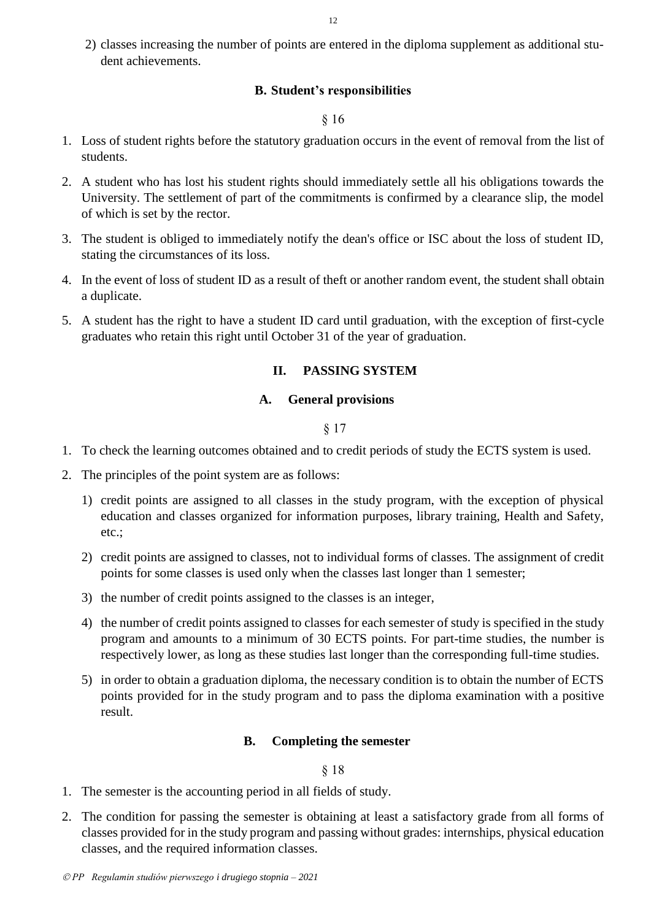<span id="page-11-0"></span>2) classes increasing the number of points are entered in the diploma supplement as additional student achievements.

## **B. Student's responsibilities**

### § 16

- 1. Loss of student rights before the statutory graduation occurs in the event of removal from the list of students.
- 2. A student who has lost his student rights should immediately settle all his obligations towards the University. The settlement of part of the commitments is confirmed by a clearance slip, the model of which is set by the rector.
- 3. The student is obliged to immediately notify the dean's office or ISC about the loss of student ID, stating the circumstances of its loss.
- 4. In the event of loss of student ID as a result of theft or another random event, the student shall obtain a duplicate.
- <span id="page-11-1"></span>5. A student has the right to have a student ID card until graduation, with the exception of first-cycle graduates who retain this right until October 31 of the year of graduation.

## **II. PASSING SYSTEM**

### **A. General provisions**

§ 17

- <span id="page-11-2"></span>1. To check the learning outcomes obtained and to credit periods of study the ECTS system is used.
- 2. The principles of the point system are as follows:
	- 1) credit points are assigned to all classes in the study program, with the exception of physical education and classes organized for information purposes, library training, Health and Safety, etc.;
	- 2) credit points are assigned to classes, not to individual forms of classes. The assignment of credit points for some classes is used only when the classes last longer than 1 semester;
	- 3) the number of credit points assigned to the classes is an integer,
	- 4) the number of credit points assigned to classes for each semester of study is specified in the study program and amounts to a minimum of 30 ECTS points. For part-time studies, the number is respectively lower, as long as these studies last longer than the corresponding full-time studies.
	- 5) in order to obtain a graduation diploma, the necessary condition is to obtain the number of ECTS points provided for in the study program and to pass the diploma examination with a positive result.

## **B. Completing the semester**

- <span id="page-11-3"></span>1. The semester is the accounting period in all fields of study.
- 2. The condition for passing the semester is obtaining at least a satisfactory grade from all forms of classes provided for in the study program and passing without grades: internships, physical education classes, and the required information classes.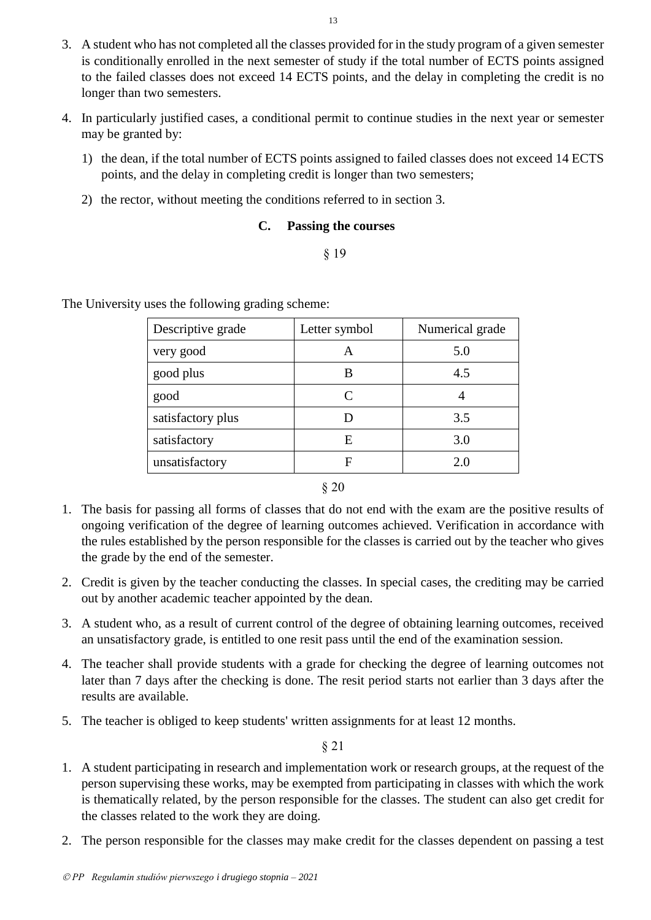- 3. A student who has not completed all the classes provided for in the study program of a given semester is conditionally enrolled in the next semester of study if the total number of ECTS points assigned to the failed classes does not exceed 14 ECTS points, and the delay in completing the credit is no longer than two semesters.
- 4. In particularly justified cases, a conditional permit to continue studies in the next year or semester may be granted by:
	- 1) the dean, if the total number of ECTS points assigned to failed classes does not exceed 14 ECTS points, and the delay in completing credit is longer than two semesters;
	- 2) the rector, without meeting the conditions referred to in section 3.

## **C. Passing the courses**

§ 19

<span id="page-12-0"></span>The University uses the following grading scheme:

| Descriptive grade | Letter symbol | Numerical grade |
|-------------------|---------------|-----------------|
| very good         |               | 5.0             |
| good plus         | В             | 4.5             |
| good              | $\subset$     |                 |
| satisfactory plus |               | 3.5             |
| satisfactory      | E             | 3.0             |
| unsatisfactory    | F             | 2.0             |

§ 20

- 1. The basis for passing all forms of classes that do not end with the exam are the positive results of ongoing verification of the degree of learning outcomes achieved. Verification in accordance with the rules established by the person responsible for the classes is carried out by the teacher who gives the grade by the end of the semester.
- 2. Credit is given by the teacher conducting the classes. In special cases, the crediting may be carried out by another academic teacher appointed by the dean.
- 3. A student who, as a result of current control of the degree of obtaining learning outcomes, received an unsatisfactory grade, is entitled to one resit pass until the end of the examination session.
- 4. The teacher shall provide students with a grade for checking the degree of learning outcomes not later than 7 days after the checking is done. The resit period starts not earlier than 3 days after the results are available.
- 5. The teacher is obliged to keep students' written assignments for at least 12 months.

- 1. A student participating in research and implementation work or research groups, at the request of the person supervising these works, may be exempted from participating in classes with which the work is thematically related, by the person responsible for the classes. The student can also get credit for the classes related to the work they are doing.
- 2. The person responsible for the classes may make credit for the classes dependent on passing a test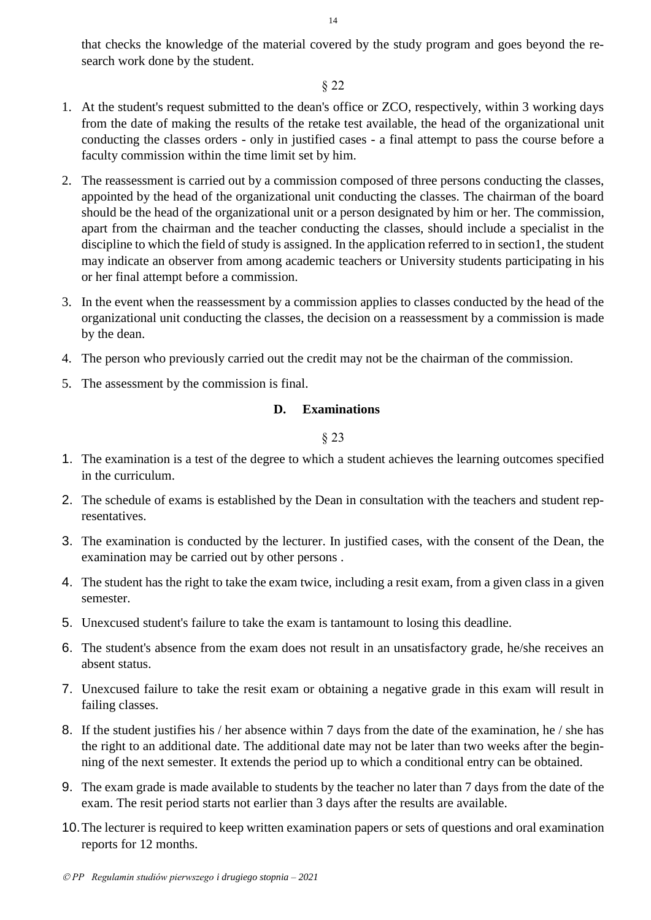that checks the knowledge of the material covered by the study program and goes beyond the research work done by the student.

## § 22

- 1. At the student's request submitted to the dean's office or ZCO, respectively, within 3 working days from the date of making the results of the retake test available, the head of the organizational unit conducting the classes orders - only in justified cases - a final attempt to pass the course before a faculty commission within the time limit set by him.
- 2. The reassessment is carried out by a commission composed of three persons conducting the classes, appointed by the head of the organizational unit conducting the classes. The chairman of the board should be the head of the organizational unit or a person designated by him or her. The commission, apart from the chairman and the teacher conducting the classes, should include a specialist in the discipline to which the field of study is assigned. In the application referred to in section1, the student may indicate an observer from among academic teachers or University students participating in his or her final attempt before a commission.
- 3. In the event when the reassessment by a commission applies to classes conducted by the head of the organizational unit conducting the classes, the decision on a reassessment by a commission is made by the dean.
- 4. The person who previously carried out the credit may not be the chairman of the commission.
- <span id="page-13-0"></span>5. The assessment by the commission is final.

## **D. Examinations**

- 1. The examination is a test of the degree to which a student achieves the learning outcomes specified in the curriculum.
- 2. The schedule of exams is established by the Dean in consultation with the teachers and student representatives.
- 3. The examination is conducted by the lecturer. In justified cases, with the consent of the Dean, the examination may be carried out by other persons .
- 4. The student has the right to take the exam twice, including a resit exam, from a given class in a given semester.
- 5. Unexcused student's failure to take the exam is tantamount to losing this deadline.
- 6. The student's absence from the exam does not result in an unsatisfactory grade, he/she receives an absent status.
- 7. Unexcused failure to take the resit exam or obtaining a negative grade in this exam will result in failing classes.
- 8. If the student justifies his / her absence within 7 days from the date of the examination, he / she has the right to an additional date. The additional date may not be later than two weeks after the beginning of the next semester. It extends the period up to which a conditional entry can be obtained.
- 9. The exam grade is made available to students by the teacher no later than 7 days from the date of the exam. The resit period starts not earlier than 3 days after the results are available.
- 10.The lecturer is required to keep written examination papers or sets of questions and oral examination reports for 12 months.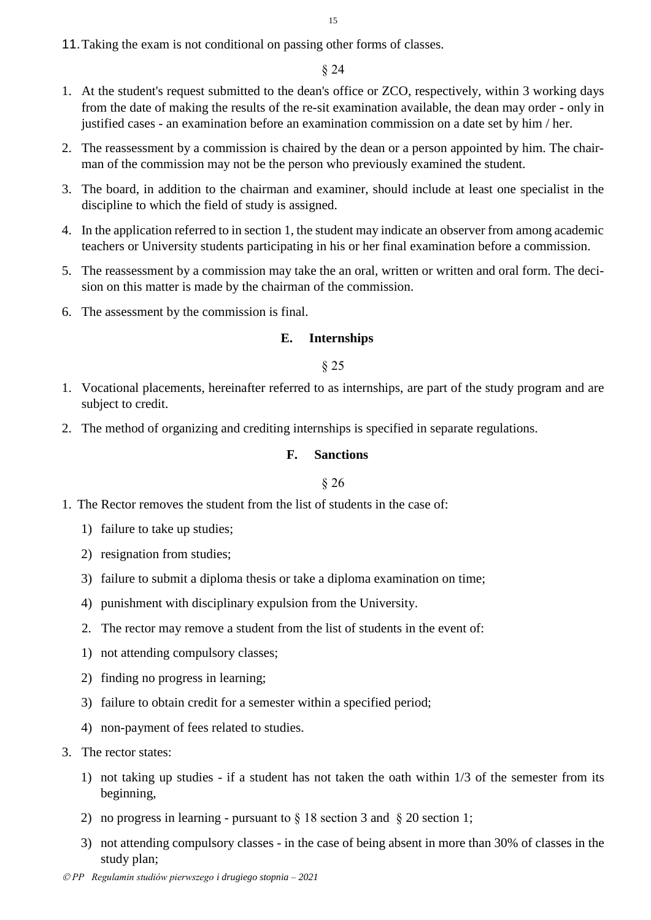11.Taking the exam is not conditional on passing other forms of classes.

## § 24

- 1. At the student's request submitted to the dean's office or ZCO, respectively, within 3 working days from the date of making the results of the re-sit examination available, the dean may order - only in justified cases - an examination before an examination commission on a date set by him / her.
- 2. The reassessment by a commission is chaired by the dean or a person appointed by him. The chairman of the commission may not be the person who previously examined the student.
- 3. The board, in addition to the chairman and examiner, should include at least one specialist in the discipline to which the field of study is assigned.
- 4. In the application referred to in section 1, the student may indicate an observer from among academic teachers or University students participating in his or her final examination before a commission.
- 5. The reassessment by a commission may take the an oral, written or written and oral form. The decision on this matter is made by the chairman of the commission.
- <span id="page-14-0"></span>6. The assessment by the commission is final.

#### **E. Internships**

§ 25

- 1. Vocational placements, hereinafter referred to as internships, are part of the study program and are subject to credit.
- <span id="page-14-1"></span>2. The method of organizing and crediting internships is specified in separate regulations.

#### **F. Sanctions**

- 1. The Rector removes the student from the list of students in the case of:
	- 1) failure to take up studies;
	- 2) resignation from studies;
	- 3) failure to submit a diploma thesis or take a diploma examination on time;
	- 4) punishment with disciplinary expulsion from the University.
	- 2. The rector may remove a student from the list of students in the event of:
	- 1) not attending compulsory classes;
	- 2) finding no progress in learning;
	- 3) failure to obtain credit for a semester within a specified period;
	- 4) non-payment of fees related to studies.
- 3. The rector states:
	- 1) not taking up studies if a student has not taken the oath within 1/3 of the semester from its beginning,
	- 2) no progress in learning pursuant to § 18 section 3 and § 20 section 1;
	- 3) not attending compulsory classes in the case of being absent in more than 30% of classes in the study plan;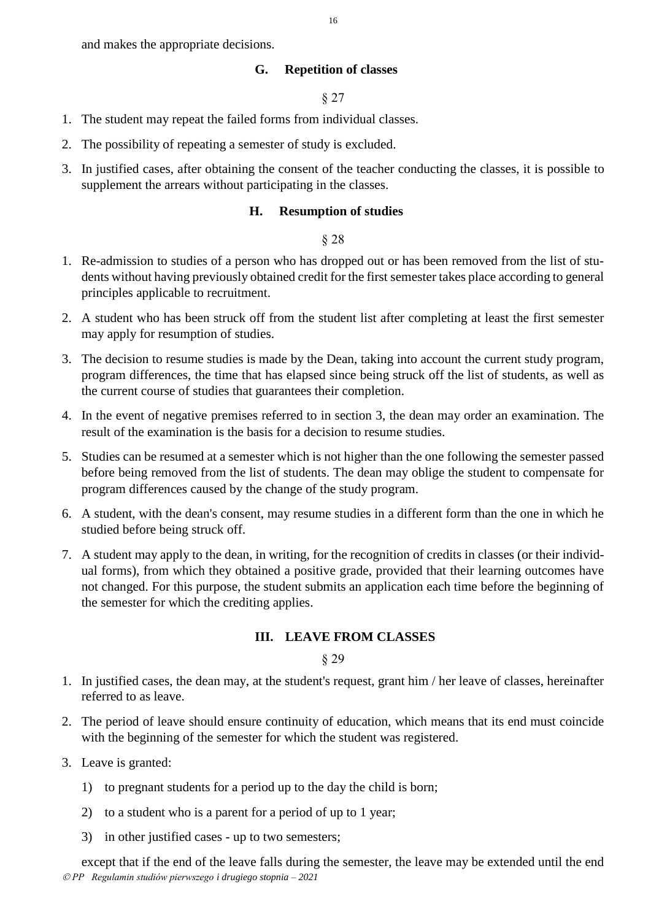<span id="page-15-0"></span>and makes the appropriate decisions.

### **G. Repetition of classes**

§ 27

- 1. The student may repeat the failed forms from individual classes.
- 2. The possibility of repeating a semester of study is excluded.
- <span id="page-15-1"></span>3. In justified cases, after obtaining the consent of the teacher conducting the classes, it is possible to supplement the arrears without participating in the classes.

## **H. Resumption of studies**

### § 28

- 1. Re-admission to studies of a person who has dropped out or has been removed from the list of students without having previously obtained credit for the first semester takes place according to general principles applicable to recruitment.
- 2. A student who has been struck off from the student list after completing at least the first semester may apply for resumption of studies.
- 3. The decision to resume studies is made by the Dean, taking into account the current study program, program differences, the time that has elapsed since being struck off the list of students, as well as the current course of studies that guarantees their completion.
- 4. In the event of negative premises referred to in section 3, the dean may order an examination. The result of the examination is the basis for a decision to resume studies.
- 5. Studies can be resumed at a semester which is not higher than the one following the semester passed before being removed from the list of students. The dean may oblige the student to compensate for program differences caused by the change of the study program.
- 6. A student, with the dean's consent, may resume studies in a different form than the one in which he studied before being struck off.
- 7. A student may apply to the dean, in writing, for the recognition of credits in classes (or their individual forms), from which they obtained a positive grade, provided that their learning outcomes have not changed. For this purpose, the student submits an application each time before the beginning of the semester for which the crediting applies.

## **III. LEAVE FROM CLASSES**

§ 29

- <span id="page-15-2"></span>1. In justified cases, the dean may, at the student's request, grant him / her leave of classes, hereinafter referred to as leave.
- 2. The period of leave should ensure continuity of education, which means that its end must coincide with the beginning of the semester for which the student was registered.
- 3. Leave is granted:
	- 1) to pregnant students for a period up to the day the child is born;
	- 2) to a student who is a parent for a period of up to 1 year;
	- 3) in other justified cases up to two semesters;

 *PP Regulamin studiów pierwszego i drugiego stopnia – 2021* except that if the end of the leave falls during the semester, the leave may be extended until the end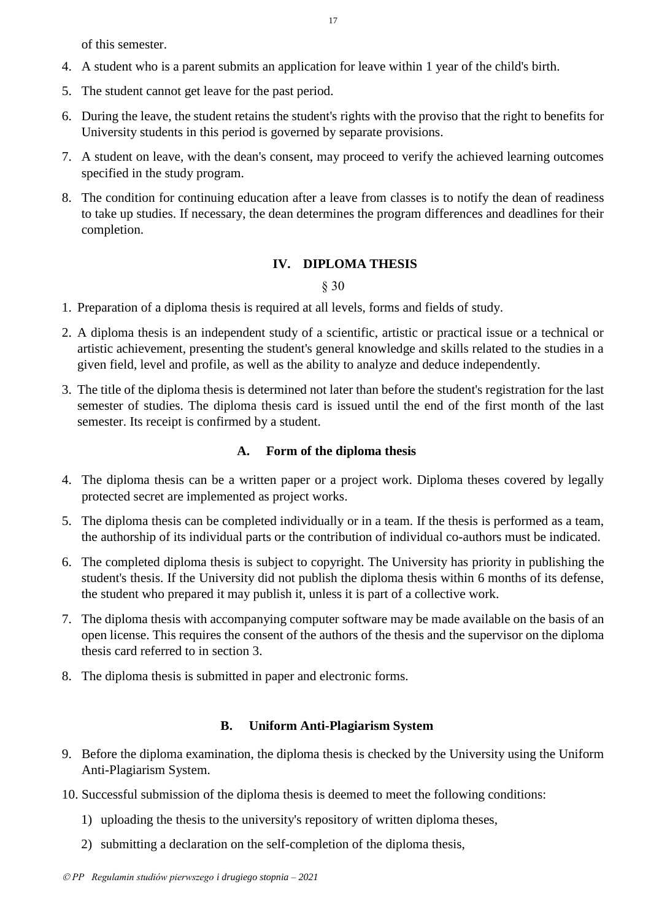of this semester.

- 4. A student who is a parent submits an application for leave within 1 year of the child's birth.
- 5. The student cannot get leave for the past period.
- 6. During the leave, the student retains the student's rights with the proviso that the right to benefits for University students in this period is governed by separate provisions.
- 7. A student on leave, with the dean's consent, may proceed to verify the achieved learning outcomes specified in the study program.
- 8. The condition for continuing education after a leave from classes is to notify the dean of readiness to take up studies. If necessary, the dean determines the program differences and deadlines for their completion.

# **IV. DIPLOMA THESIS**

## § 30

- <span id="page-16-0"></span>1. Preparation of a diploma thesis is required at all levels, forms and fields of study.
- 2. A diploma thesis is an independent study of a scientific, artistic or practical issue or a technical or artistic achievement, presenting the student's general knowledge and skills related to the studies in a given field, level and profile, as well as the ability to analyze and deduce independently.
- 3. The title of the diploma thesis is determined not later than before the student's registration for the last semester of studies. The diploma thesis card is issued until the end of the first month of the last semester. Its receipt is confirmed by a student.

## **A. Form of the diploma thesis**

- <span id="page-16-1"></span>4. The diploma thesis can be a written paper or a project work. Diploma theses covered by legally protected secret are implemented as project works.
- 5. The diploma thesis can be completed individually or in a team. If the thesis is performed as a team, the authorship of its individual parts or the contribution of individual co-authors must be indicated.
- 6. The completed diploma thesis is subject to copyright. The University has priority in publishing the student's thesis. If the University did not publish the diploma thesis within 6 months of its defense, the student who prepared it may publish it, unless it is part of a collective work.
- 7. The diploma thesis with accompanying computer software may be made available on the basis of an open license. This requires the consent of the authors of the thesis and the supervisor on the diploma thesis card referred to in section 3.
- 8. The diploma thesis is submitted in paper and electronic forms.

# **B. Uniform Anti-Plagiarism System**

- <span id="page-16-2"></span>9. Before the diploma examination, the diploma thesis is checked by the University using the Uniform Anti-Plagiarism System.
- 10. Successful submission of the diploma thesis is deemed to meet the following conditions:
	- 1) uploading the thesis to the university's repository of written diploma theses,
	- 2) submitting a declaration on the self-completion of the diploma thesis,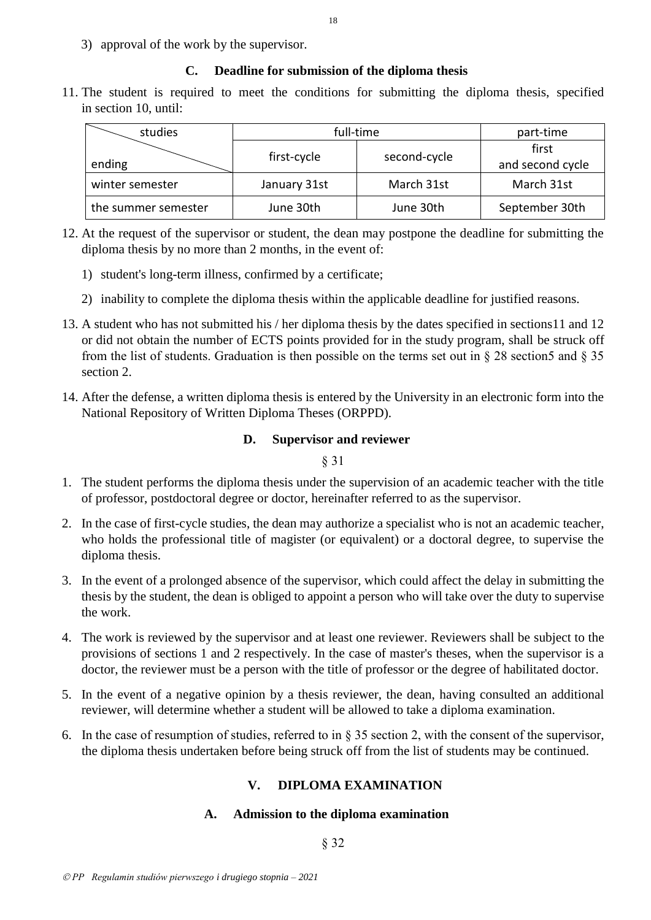3) approval of the work by the supervisor.

## **C. Deadline for submission of the diploma thesis**

<span id="page-17-0"></span>11. The student is required to meet the conditions for submitting the diploma thesis, specified in section 10, until:

| studies             | full-time    | part-time    |                           |
|---------------------|--------------|--------------|---------------------------|
| ending              | first-cycle  | second-cycle | first<br>and second cycle |
| winter semester     | January 31st | March 31st   | March 31st                |
| the summer semester | June 30th    | June 30th    | September 30th            |

- 12. At the request of the supervisor or student, the dean may postpone the deadline for submitting the diploma thesis by no more than 2 months, in the event of:
	- 1) student's long-term illness, confirmed by a certificate;
	- 2) inability to complete the diploma thesis within the applicable deadline for justified reasons.
- 13. A student who has not submitted his / her diploma thesis by the dates specified in sections11 and 12 or did not obtain the number of ECTS points provided for in the study program, shall be struck off from the list of students. Graduation is then possible on the terms set out in  $\S 28$  section5 and  $\S 35$ section 2.
- <span id="page-17-1"></span>14. After the defense, a written diploma thesis is entered by the University in an electronic form into the National Repository of Written Diploma Theses (ORPPD).

## **D. Supervisor and reviewer**

§ 31

- 1. The student performs the diploma thesis under the supervision of an academic teacher with the title of professor, postdoctoral degree or doctor, hereinafter referred to as the supervisor.
- 2. In the case of first-cycle studies, the dean may authorize a specialist who is not an academic teacher, who holds the professional title of magister (or equivalent) or a doctoral degree, to supervise the diploma thesis.
- 3. In the event of a prolonged absence of the supervisor, which could affect the delay in submitting the thesis by the student, the dean is obliged to appoint a person who will take over the duty to supervise the work.
- 4. The work is reviewed by the supervisor and at least one reviewer. Reviewers shall be subject to the provisions of sections 1 and 2 respectively. In the case of master's theses, when the supervisor is a doctor, the reviewer must be a person with the title of professor or the degree of habilitated doctor.
- 5. In the event of a negative opinion by a thesis reviewer, the dean, having consulted an additional reviewer, will determine whether a student will be allowed to take a diploma examination.
- <span id="page-17-3"></span><span id="page-17-2"></span>6. In the case of resumption of studies, referred to in  $\S 35$  section 2, with the consent of the supervisor, the diploma thesis undertaken before being struck off from the list of students may be continued.

## **V. DIPLOMA EXAMINATION**

## **A. Admission to the diploma examination**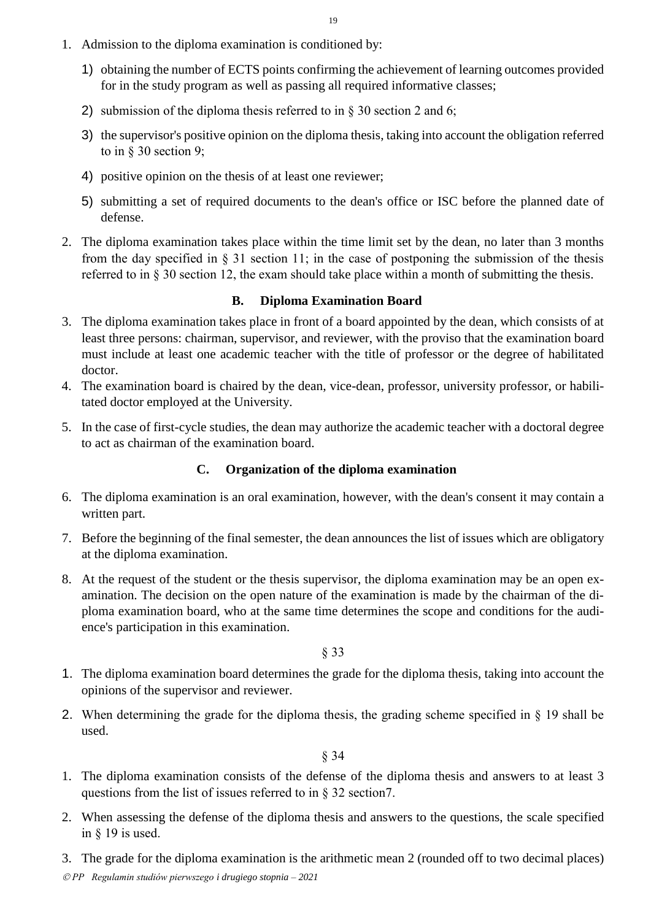- 1. Admission to the diploma examination is conditioned by:
	- 1) obtaining the number of ECTS points confirming the achievement of learning outcomes provided for in the study program as well as passing all required informative classes;
	- 2) submission of the diploma thesis referred to in § 30 section 2 and 6;
	- 3) the supervisor's positive opinion on the diploma thesis, taking into account the obligation referred to in § 30 section 9;
	- 4) positive opinion on the thesis of at least one reviewer;
	- 5) submitting a set of required documents to the dean's office or ISC before the planned date of defense.
- 2. The diploma examination takes place within the time limit set by the dean, no later than 3 months from the day specified in  $\S 31$  section 11; in the case of postponing the submission of the thesis referred to in § 30 section 12, the exam should take place within a month of submitting the thesis.

## **B. Diploma Examination Board**

- <span id="page-18-0"></span>3. The diploma examination takes place in front of a board appointed by the dean, which consists of at least three persons: chairman, supervisor, and reviewer, with the proviso that the examination board must include at least one academic teacher with the title of professor or the degree of habilitated doctor.
- 4. The examination board is chaired by the dean, vice-dean, professor, university professor, or habilitated doctor employed at the University.
- 5. In the case of first-cycle studies, the dean may authorize the academic teacher with a doctoral degree to act as chairman of the examination board.

## **C. Organization of the diploma examination**

- <span id="page-18-1"></span>6. The diploma examination is an oral examination, however, with the dean's consent it may contain a written part.
- 7. Before the beginning of the final semester, the dean announces the list of issues which are obligatory at the diploma examination.
- 8. At the request of the student or the thesis supervisor, the diploma examination may be an open examination. The decision on the open nature of the examination is made by the chairman of the diploma examination board, who at the same time determines the scope and conditions for the audience's participation in this examination.

§ 33

- 1. The diploma examination board determines the grade for the diploma thesis, taking into account the opinions of the supervisor and reviewer.
- 2. When determining the grade for the diploma thesis, the grading scheme specified in § 19 shall be used.

- 1. The diploma examination consists of the defense of the diploma thesis and answers to at least 3 questions from the list of issues referred to in § 32 section7.
- 2. When assessing the defense of the diploma thesis and answers to the questions, the scale specified in § 19 is used.
- 3. The grade for the diploma examination is the arithmetic mean 2 (rounded off to two decimal places)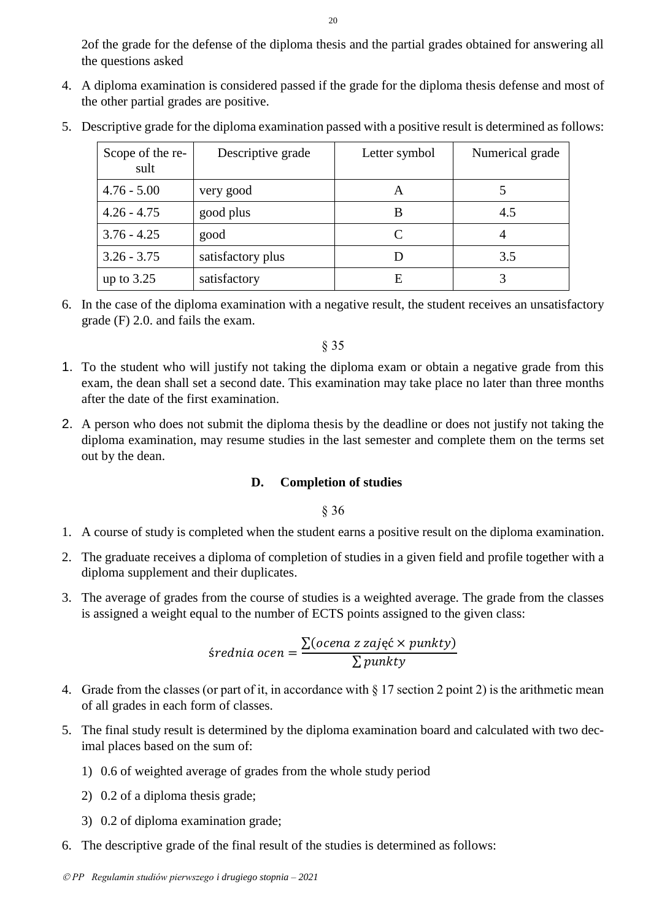2of the grade for the defense of the diploma thesis and the partial grades obtained for answering all the questions asked

4. A diploma examination is considered passed if the grade for the diploma thesis defense and most of the other partial grades are positive.

| Scope of the re-<br>sult | Descriptive grade | Letter symbol | Numerical grade |
|--------------------------|-------------------|---------------|-----------------|
| $4.76 - 5.00$            | very good         | A             |                 |
| $4.26 - 4.75$            | good plus         | В             | 4.5             |
| $3.76 - 4.25$            | good              | C             | 4               |
| $3.26 - 3.75$            | satisfactory plus |               | 3.5             |
| up to $3.25$             | satisfactory      | E             |                 |

5. Descriptive grade for the diploma examination passed with a positive result is determined as follows:

6. In the case of the diploma examination with a negative result, the student receives an unsatisfactory grade (F) 2.0. and fails the exam.

§ 35

- 1. To the student who will justify not taking the diploma exam or obtain a negative grade from this exam, the dean shall set a second date. This examination may take place no later than three months after the date of the first examination.
- 2. A person who does not submit the diploma thesis by the deadline or does not justify not taking the diploma examination, may resume studies in the last semester and complete them on the terms set out by the dean.

## **D. Completion of studies**

- <span id="page-19-0"></span>1. A course of study is completed when the student earns a positive result on the diploma examination.
- 2. The graduate receives a diploma of completion of studies in a given field and profile together with a diploma supplement and their duplicates.
- 3. The average of grades from the course of studies is a weighted average. The grade from the classes is assigned a weight equal to the number of ECTS points assigned to the given class:

$$
Srednia ocen = \frac{\sum (ocena z zajęć \times punkty)}{\sum punkty}
$$

- 4. Grade from the classes (or part of it, in accordance with § 17 section 2 point 2) is the arithmetic mean of all grades in each form of classes.
- 5. The final study result is determined by the diploma examination board and calculated with two decimal places based on the sum of:
	- 1) 0.6 of weighted average of grades from the whole study period
	- 2) 0.2 of a diploma thesis grade;
	- 3) 0.2 of diploma examination grade;
- 6. The descriptive grade of the final result of the studies is determined as follows: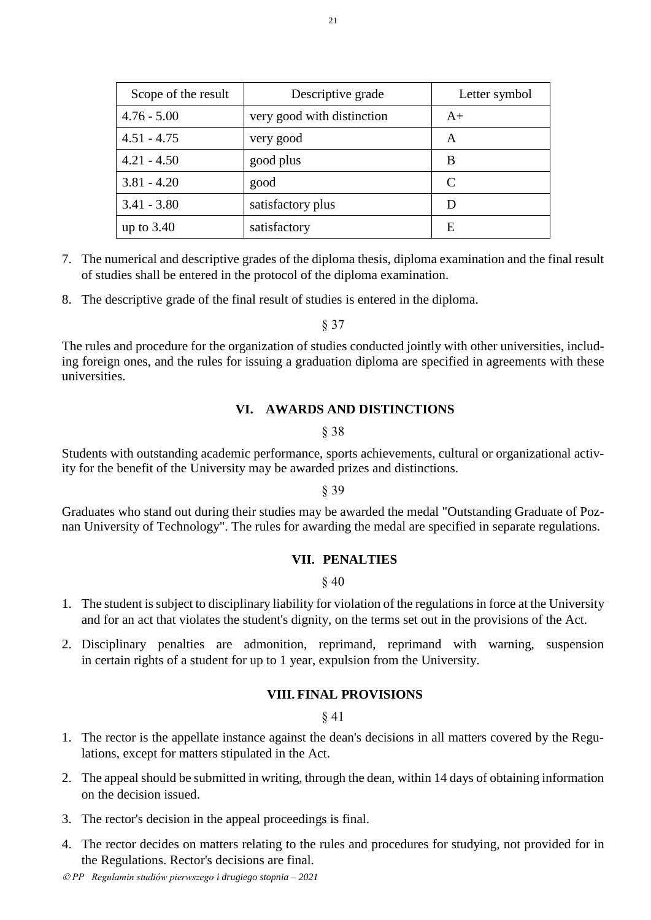| Scope of the result | Descriptive grade          | Letter symbol |
|---------------------|----------------------------|---------------|
| $4.76 - 5.00$       | very good with distinction | $A+$          |
| $4.51 - 4.75$       | very good                  | A             |
| $4.21 - 4.50$       | good plus                  | B             |
| $3.81 - 4.20$       | good                       | C             |
| $3.41 - 3.80$       | satisfactory plus          |               |
| up to $3.40$        | satisfactory               | E             |

- 7. The numerical and descriptive grades of the diploma thesis, diploma examination and the final result of studies shall be entered in the protocol of the diploma examination.
- 8. The descriptive grade of the final result of studies is entered in the diploma.

§ 37

<span id="page-20-0"></span>The rules and procedure for the organization of studies conducted jointly with other universities, including foreign ones, and the rules for issuing a graduation diploma are specified in agreements with these universities.

#### **VI. AWARDS AND DISTINCTIONS**

#### § 38

Students with outstanding academic performance, sports achievements, cultural or organizational activity for the benefit of the University may be awarded prizes and distinctions.

## § 39

<span id="page-20-1"></span>Graduates who stand out during their studies may be awarded the medal "Outstanding Graduate of Poznan University of Technology". The rules for awarding the medal are specified in separate regulations.

## **VII. PENALTIES**

§ 40

- 1. The student is subject to disciplinary liability for violation of the regulations in force at the University and for an act that violates the student's dignity, on the terms set out in the provisions of the Act.
- <span id="page-20-2"></span>2. Disciplinary penalties are admonition, reprimand, reprimand with warning, suspension in certain rights of a student for up to 1 year, expulsion from the University.

#### **VIII. FINAL PROVISIONS**

- 1. The rector is the appellate instance against the dean's decisions in all matters covered by the Regulations, except for matters stipulated in the Act.
- 2. The appeal should be submitted in writing, through the dean, within 14 days of obtaining information on the decision issued.
- 3. The rector's decision in the appeal proceedings is final.
- 4. The rector decides on matters relating to the rules and procedures for studying, not provided for in the Regulations. Rector's decisions are final.

*PP Regulamin studiów pierwszego i drugiego stopnia – 2021*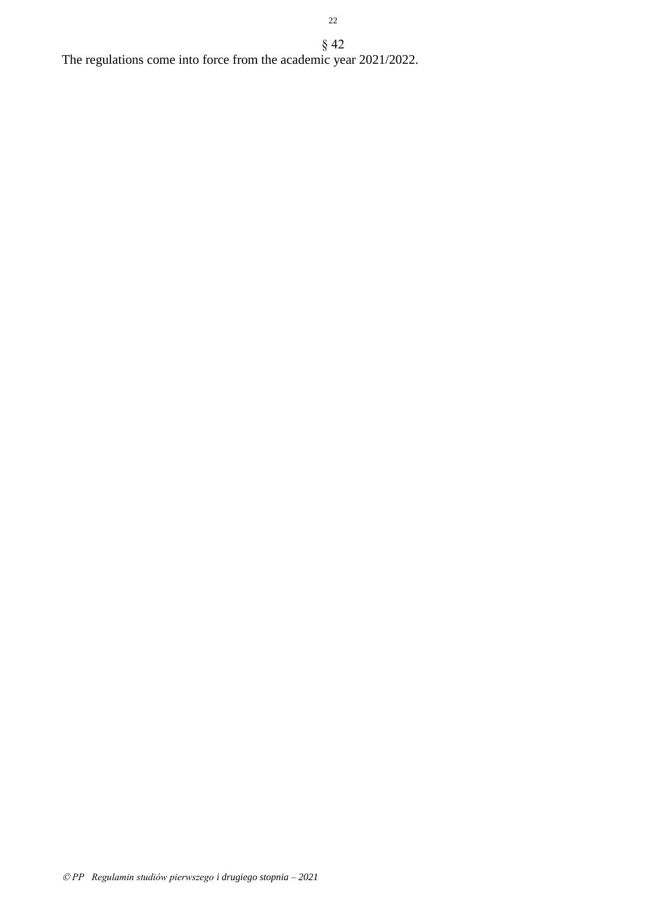§ 42 The regulations come into force from the academic year 2021/2022.